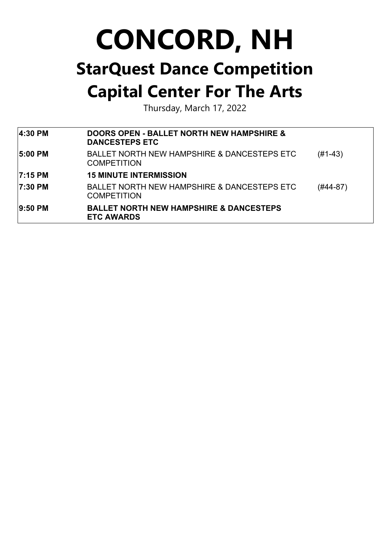Thursday, March 17, 2022

| 4:30 PM        | <b>DOORS OPEN - BALLET NORTH NEW HAMPSHIRE &amp;</b><br><b>DANCESTEPS ETC</b> |           |
|----------------|-------------------------------------------------------------------------------|-----------|
| <b>5:00 PM</b> | <b>BALLET NORTH NEW HAMPSHIRE &amp; DANCESTEPS ETC</b><br><b>COMPETITION</b>  | $(H1-43)$ |
| 17:15 PM       | <b>15 MINUTE INTERMISSION</b>                                                 |           |
| <b>7:30 PM</b> | <b>BALLET NORTH NEW HAMPSHIRE &amp; DANCESTEPS ETC</b><br><b>COMPETITION</b>  | (#44-87)  |
| 9:50 PM        | <b>BALLET NORTH NEW HAMPSHIRE &amp; DANCESTEPS</b><br><b>ETC AWARDS</b>       |           |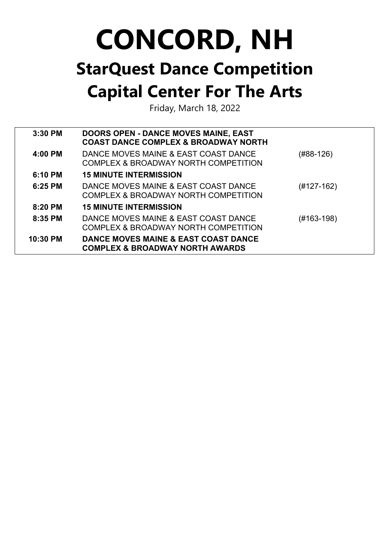Friday, March 18, 2022

| $3:30$ PM  | <b>DOORS OPEN - DANCE MOVES MAINE, EAST</b><br><b>COAST DANCE COMPLEX &amp; BROADWAY NORTH</b> |            |
|------------|------------------------------------------------------------------------------------------------|------------|
| 4:00 PM    | DANCE MOVES MAINE & EAST COAST DANCE<br>COMPLEX & BROADWAY NORTH COMPETITION                   | (#88-126)  |
| $6:10$ PM  | <b>15 MINUTE INTERMISSION</b>                                                                  |            |
| $6:25$ PM  | DANCE MOVES MAINE & EAST COAST DANCE<br>COMPLEX & BROADWAY NORTH COMPETITION                   | (#127-162) |
| $8:20$ PM  | <b>15 MINUTE INTERMISSION</b>                                                                  |            |
| $8:35$ PM  | DANCE MOVES MAINE & EAST COAST DANCE<br>COMPLEX & BROADWAY NORTH COMPETITION                   | (#163-198) |
| $10:30$ PM | DANCE MOVES MAINE & EAST COAST DANCE<br><b>COMPLEX &amp; BROADWAY NORTH AWARDS</b>             |            |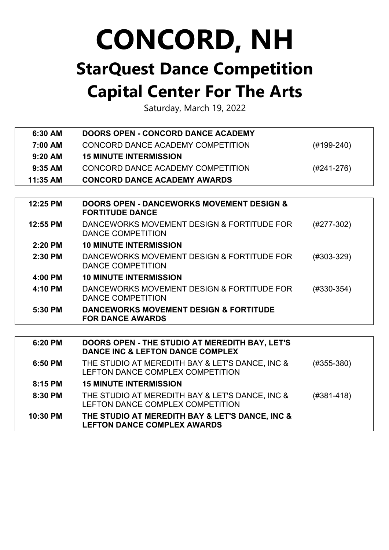Saturday, March 19, 2022

| 6:30 AM   | <b>DOORS OPEN - CONCORD DANCE ACADEMY</b>                                                 |                |
|-----------|-------------------------------------------------------------------------------------------|----------------|
| 7:00 AM   | CONCORD DANCE ACADEMY COMPETITION                                                         | $(H199-240)$   |
| $9:20$ AM | <b>15 MINUTE INTERMISSION</b>                                                             |                |
| $9:35$ AM | CONCORD DANCE ACADEMY COMPETITION                                                         | $(H241-276)$   |
| 11:35 AM  | <b>CONCORD DANCE ACADEMY AWARDS</b>                                                       |                |
|           |                                                                                           |                |
| 12:25 PM  | <b>DOORS OPEN - DANCEWORKS MOVEMENT DESIGN &amp;</b><br><b>FORTITUDE DANCE</b>            |                |
| 12:55 PM  | DANCEWORKS MOVEMENT DESIGN & FORTITUDE FOR<br><b>DANCE COMPETITION</b>                    | $(H277-302)$   |
| 2:20 PM   | <b>10 MINUTE INTERMISSION</b>                                                             |                |
| 2:30 PM   | DANCEWORKS MOVEMENT DESIGN & FORTITUDE FOR<br><b>DANCE COMPETITION</b>                    | $(H303-329)$   |
| 4:00 PM   | <b>10 MINUTE INTERMISSION</b>                                                             |                |
| 4:10 PM   | DANCEWORKS MOVEMENT DESIGN & FORTITUDE FOR<br><b>DANCE COMPETITION</b>                    | $(H330-354)$   |
| 5:30 PM   | <b>DANCEWORKS MOVEMENT DESIGN &amp; FORTITUDE</b><br><b>FOR DANCE AWARDS</b>              |                |
|           |                                                                                           |                |
| 6:20 PM   | <b>DOORS OPEN - THE STUDIO AT MEREDITH BAY, LET'S</b><br>DANCE INC & LEFTON DANCE COMPLEX |                |
| 6:50 PM   | THE STUDIO AT MEREDITH BAY & LET'S DANCE, INC &<br>LEFTON DANCE COMPLEX COMPETITION       | $(#355-380)$   |
| 8:15 PM   | <b>15 MINUTE INTERMISSION</b>                                                             |                |
| 8:30 PM   | THE STUDIO AT MEREDITH BAY & LET'S DANCE, INC &<br>LEFTON DANCE COMPLEX COMPETITION       | $(H381 - 418)$ |
| 10:30 PM  | THE STUDIO AT MEREDITH BAY & LET'S DANCE, INC &<br><b>LEFTON DANCE COMPLEX AWARDS</b>     |                |